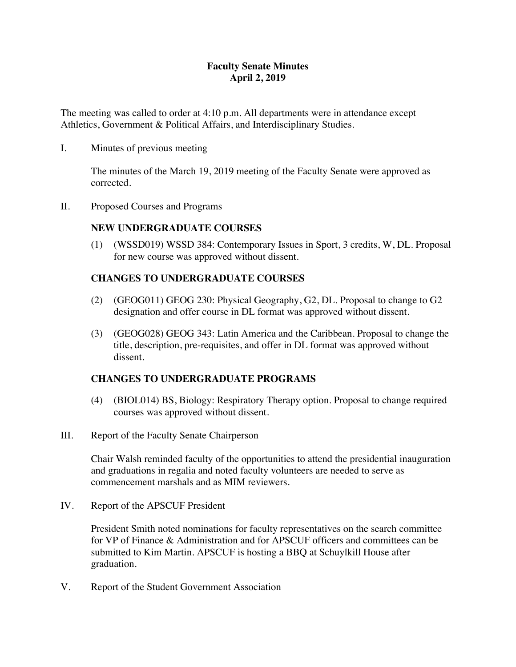### **Faculty Senate Minutes April 2, 2019**

The meeting was called to order at 4:10 p.m. All departments were in attendance except Athletics, Government & Political Affairs, and Interdisciplinary Studies.

I. Minutes of previous meeting

The minutes of the March 19, 2019 meeting of the Faculty Senate were approved as corrected.

II. Proposed Courses and Programs

### **NEW UNDERGRADUATE COURSES**

(1) (WSSD019) WSSD 384: Contemporary Issues in Sport, 3 credits, W, DL. Proposal for new course was approved without dissent.

### **CHANGES TO UNDERGRADUATE COURSES**

- (2) (GEOG011) GEOG 230: Physical Geography, G2, DL. Proposal to change to G2 designation and offer course in DL format was approved without dissent.
- (3) (GEOG028) GEOG 343: Latin America and the Caribbean. Proposal to change the title, description, pre-requisites, and offer in DL format was approved without dissent.

### **CHANGES TO UNDERGRADUATE PROGRAMS**

- (4) (BIOL014) BS, Biology: Respiratory Therapy option. Proposal to change required courses was approved without dissent.
- III. Report of the Faculty Senate Chairperson

Chair Walsh reminded faculty of the opportunities to attend the presidential inauguration and graduations in regalia and noted faculty volunteers are needed to serve as commencement marshals and as MIM reviewers.

IV. Report of the APSCUF President

President Smith noted nominations for faculty representatives on the search committee for VP of Finance & Administration and for APSCUF officers and committees can be submitted to Kim Martin. APSCUF is hosting a BBQ at Schuylkill House after graduation.

V. Report of the Student Government Association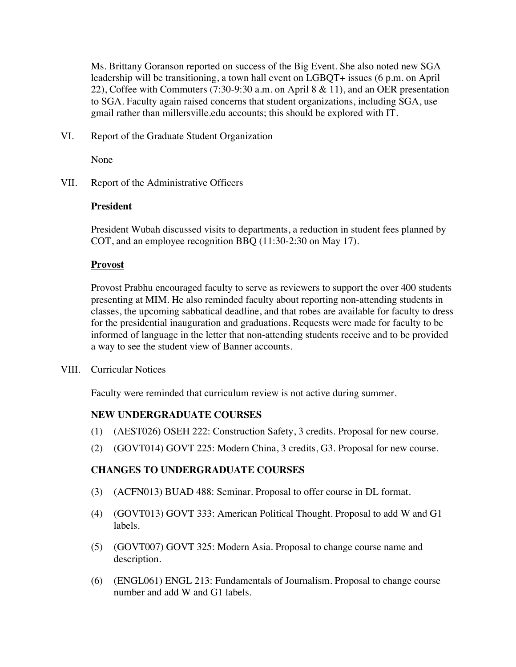Ms. Brittany Goranson reported on success of the Big Event. She also noted new SGA leadership will be transitioning, a town hall event on LGBQT+ issues (6 p.m. on April 22), Coffee with Commuters (7:30-9:30 a.m. on April 8 & 11), and an OER presentation to SGA. Faculty again raised concerns that student organizations, including SGA, use gmail rather than millersville.edu accounts; this should be explored with IT.

VI. Report of the Graduate Student Organization

None

VII. Report of the Administrative Officers

#### **President**

President Wubah discussed visits to departments, a reduction in student fees planned by COT, and an employee recognition BBQ (11:30-2:30 on May 17).

#### **Provost**

Provost Prabhu encouraged faculty to serve as reviewers to support the over 400 students presenting at MIM. He also reminded faculty about reporting non-attending students in classes, the upcoming sabbatical deadline, and that robes are available for faculty to dress for the presidential inauguration and graduations. Requests were made for faculty to be informed of language in the letter that non-attending students receive and to be provided a way to see the student view of Banner accounts.

VIII. Curricular Notices

Faculty were reminded that curriculum review is not active during summer.

### **NEW UNDERGRADUATE COURSES**

- (1) (AEST026) OSEH 222: Construction Safety, 3 credits. Proposal for new course.
- (2) (GOVT014) GOVT 225: Modern China, 3 credits, G3. Proposal for new course.

### **CHANGES TO UNDERGRADUATE COURSES**

- (3) (ACFN013) BUAD 488: Seminar. Proposal to offer course in DL format.
- (4) (GOVT013) GOVT 333: American Political Thought. Proposal to add W and G1 labels.
- (5) (GOVT007) GOVT 325: Modern Asia. Proposal to change course name and description.
- (6) (ENGL061) ENGL 213: Fundamentals of Journalism. Proposal to change course number and add W and G1 labels.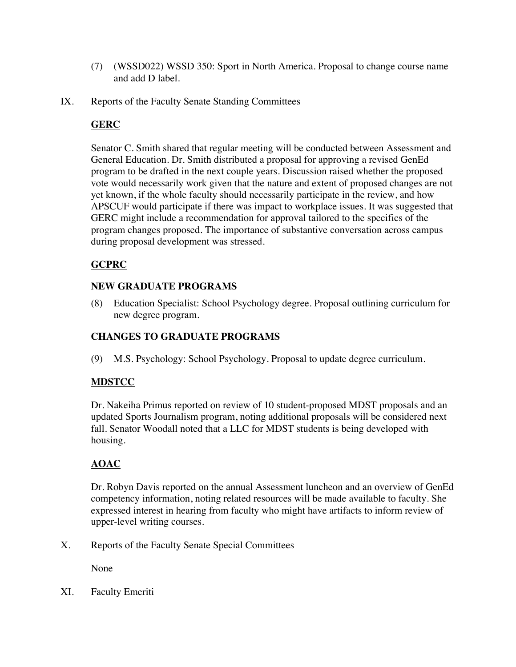- (7) (WSSD022) WSSD 350: Sport in North America. Proposal to change course name and add D label.
- IX. Reports of the Faculty Senate Standing Committees

### **GERC**

Senator C. Smith shared that regular meeting will be conducted between Assessment and General Education. Dr. Smith distributed a proposal for approving a revised GenEd program to be drafted in the next couple years. Discussion raised whether the proposed vote would necessarily work given that the nature and extent of proposed changes are not yet known, if the whole faculty should necessarily participate in the review, and how APSCUF would participate if there was impact to workplace issues. It was suggested that GERC might include a recommendation for approval tailored to the specifics of the program changes proposed. The importance of substantive conversation across campus during proposal development was stressed.

# **GCPRC**

### **NEW GRADUATE PROGRAMS**

(8) Education Specialist: School Psychology degree. Proposal outlining curriculum for new degree program.

# **CHANGES TO GRADUATE PROGRAMS**

(9) M.S. Psychology: School Psychology. Proposal to update degree curriculum.

### **MDSTCC**

Dr. Nakeiha Primus reported on review of 10 student-proposed MDST proposals and an updated Sports Journalism program, noting additional proposals will be considered next fall. Senator Woodall noted that a LLC for MDST students is being developed with housing.

# **AOAC**

Dr. Robyn Davis reported on the annual Assessment luncheon and an overview of GenEd competency information, noting related resources will be made available to faculty. She expressed interest in hearing from faculty who might have artifacts to inform review of upper-level writing courses.

X. Reports of the Faculty Senate Special Committees

None

XI. Faculty Emeriti